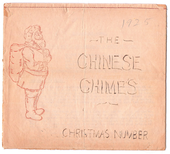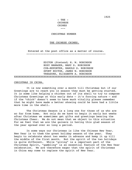---

#### CHRISTMAS NUMBER

#### THE CHINESE CHIMES.

 Entered at the post office as a matter of course. ---------------------------------------------------

# EDITOR (Pretend) H. W. ROBINSON BUSY MANAGER, MARY S. ROBINSON CUB-REPORTER, HAROLD S. ROBINSON SPORT EDITOR, JAMES W. ROBINSON TREASURE, ELIZABETH A. ROBINSON XXXXXXXXXXXXXXXXXXXXXXXXXXXXXXXXXXXXXXXXXXXXXXXXXXXXXXXXXXXXXXXXXXXXX

#### CHRISTMAS IN CHINA.

 It is now something over a month till Christmas but if our Greetings are to reach you in season they must be getting started. It is some like helping a chicken out of its shell to try to compose Christmas Greetings at this early date – it's forcing nature – and if the "chick" doesn't seem to have much vitality please remember that he might have made a better showing could he have had a little more time in the shell.

 The Christmas Season is a long one for those of us who are so far from home. Not only do we have to begin it early but weeks after Christmas we sometimes get gifts and greetings bearing the Christmas Cheer. We do not mean that we object to this situation For we feel that we are the gainers in having this glad season of the year spread over so long a period.

 In some ways our Christmas is like the Chinese New Year. New Year is to them the great holiday season of the year. They begin to celebrate about two weeks in advance and keep it up till the middle of the first month. But the spirit of the two holidays is quite different. While "giving" is a important part of the Christmas Spirit, "gambling" is an essential feature of the New Year celebration. We are therefore eager that the spirit of Christmas in China may come to replace the spirit of New Year.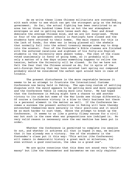As we write these lines Chinese militarists are contending with each other to see which can get the strongest grip on the Peking government. So far, the actual fighting has been restricted to an area two or three hundred times from us but the war atmosphere envelopes us and is getting more tense each day. Fear and dread dominate the average Chinese mind, and we are not surprised. Three or four of the government schools in Paotingfu have closed and the students have returned to their homes. The main reason for this is the lack of funds, for when war is being planned all the shekels that normally fall into the school treasury manage some way to drop into the arsenal. Four of the Pretender's Bible classes are finished with the enforced vacations and eighteen of his forty-six English students in the University were absent today. The rest of the class voted unanimously in favor of going home, so it probably will be only a matter of a few days unless something happens to relive the tension, before the University will be closed. So far we have not felt the fear that the Chinese around us do, for in spite of the anti-foreign feeling that may have existed last spring our compound probably would be considered the safest spot around here in case of trouble.

 The present disturbance is the more regretable because it seems to be an attempt to frustrate the International Customs Conference now being held in Peking. The age-long custom of settling disputes with the sword appears to be getting more and more unpopular and the Conference Table is coming more into favor. We had hoped that the Conference in Peking might have a chance to add another victory to its side but some of the War Lords see things differently. Of course a Conference victory is a blow to their business but there is a personal element in the matter as well. If the Conference becomes a success the present authorities in Peking will have thereby entrenched themselves more securely in their positions and it would be so much harder to oust them. Hence the attempt to break up the Conference. It seems to us like a pretty flimsy excuse for a civil war but such is the case when war preparations are indulged in. No very valid reason is necessary once the war machine has been put in order.

 Whether the Conference is permitted to complete its session Or not, and whether it achieves all that is hoped it may, we believe that it has already won a victory. One of the students in the Pretender's class put it this way: "This action (the Conference) will remain in democratic history a great mark or milestone, for even without a good conclusion, the idea is a grand one".

 We are quite conscious that this does not sound very "Christmassy" but like the thermometer and barometer we can only register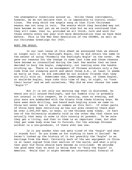the atmospheric conditions around us. Unlike these instruments, however, we do not believe that it is impossible to control conditions. The song which the angels sang on that first Christmas season was not sung in vain. The events which they heralded may not have become as real yet as we could wish but we are convinced that they will come- that is, provided we all think, talk and work for those events every new year with more determination than we have done before. This is the New Year Resolution of the CHIMES, as well as our Christmas Greetings for 1925.

# BURY THE BUGLE.

 In our last issue of this sheet we announced that we should no longer call it the Paotingfu Bugle, tho we did retain the name to the extent of using "Formerly the Paotingfu Bugle" on the cover. We gave our reasons for the change in name last time and those reasons have become so intensified during the last few months that we have decided to bury the bugle, completely, not leaving even the handle sticking up. There is an encampment of Chinese soldiers only a few rods from our sleeping porch and about three A.M., at least it seems as early as that, we are reminded by our soldier friends that they are still with us. Sometimes one, sometimes many, of these bugler, or would-be bugler, boys take this time of day, or night, to "toot their horns" and we ask ourselves, "Why did we ever choose the name 'Bugle'?"

 But it is not only our morning nap that is disturbed. Go where you will around Paotingfu, and our humble city is probably not unusual in this respect, be it morning, noon or evening, and your ears are bombarded with the blasts from these blowing boys. We have seen much drilling, and heard much bugling since we came to China but never has it been so common as this fall. If other parts of China have been recruiting as has our area recently there must be over 2,000,000 men, or boys, in the Chinese army today. In fact one of the University students told us the other day that there are actually that many in arms in this country at present. To be sure they get a living, and that to them is an important item, but what they get some body else has to furnish, for the average Chinese soldier is a non-producer, if there ever was one.

 Is it any wonder that one gets tired of the "bugle" and what it stands for? Do you blame us for wishing to have it buried? We haven't looked up the history of it but possibly the "bugle" is an heritage from the West. Certainly much of the war equipment in China is at least copied from that section of the world, and what a pity that poor Old China should have become so civilized! We welcome the good news that so much is being done to "bury the bugle" in America. Would that it might become an international funeral of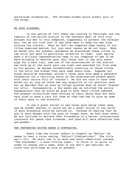world-wide celebration. The Chinese Chimes would gladly join in the dirge.

## WE HAVE DISARMED.

 In the spring of 1912 there was looting in Paotingfu and the captain of the police station in the southern part of this city brought his men to this compound, supposedly to protect the foreigners, tho we are told that it may have been to keep his men from joining the looters. When he left the compound some twenty of his rifles remained behind, for just what reason we do not know. When we moved into our present residence we discovered these rifles in the attic but paid no particular attention to them. Last spring when a military representative came to our compound to see if we were bringing in machine guns (but found that it was only waste pipe for a bath tub), and one of the missionaries of the station was held up at the south gate one night and searched for fire arms on his person, we became uncomfortably conscious of those rif1es in the attic and wished they were some where else. Suppose our house should be searched, wouldn't those guns have made a splendid foundation for a thrilling story of how missionaries preach peace with their attics full of "cannon"! We did not care to have them moved out so long as there was any suspicion of our position here but we decided that as soon as things quieted down we would "disarm" our attic. Consequently, a few weeks ago we notified the police headquarters that we would be glad to have their rifles removed. The present authorities knew nothing of their being here but were very glad to send a cart for them as they had had to give up some of their guns to the soldiers.

 It was a great relief to see those guns being taken away and we wonder whether it wou1d not be a great relief to the world if more disarming could be carried on. Instead of feeling that we are in more danger with the guns no longer here, we feel much safer. We are inclined to believe that friendship is a better international insurance for peace than firearms, and good wi11 more effective than gun-powder.

#### THE PRETENDING EDITOR MAKES A CONFESSION.

 Every time the writer refers to himself as "Editor" he seems to hear a voice saying, "Editor? Fiddlesticks!" The title won't fit. We shall use it no more and shall substitute instead, "The Pretender", a more fitting label. In China it is quite in order to change one's name, even if you don't get married, we claim that privilege as ours at present.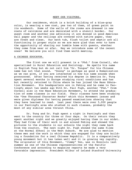## MEET OUR VISITORS.

 Our residence, which is a brick building of a blue-gray color, is wearing a new coat, yes two of them, of green paint on its woodwork. Some of the walls of the rooms are dressed in new coats of calcimine and are decorated with a stencil border. Our guest room and another one adjoining it are donned in good American wall paper and the ceilings are covered with native paper, they are fresh and clean. Our bath tub, flush toilet and septic are all functioning in proper style so we are more glad than ever to have the opportunity of sharing our humble home with guests, whether they come from near or afar. May we introduce some of the recent ones? We believe you will find them worth meeting.

## A CHINESE EDUCATOR.

 The first one we will present is a "Phd." from Cornell, who specialized in Rural Education and Sociology. He spells his name in English Tung but do not call him "Dr. Tongue" for his Chinese name has not that sound. "Doong" is perhaps as good a Romanization as we can give, if you are interested in how his name sounds when pronounced. After having received his degree in America Dr. Tung spent several months in Europe studying rural conditions and has but recently returned to China where he has joined the Mass Education Movement. His headquarters are in Peking and he came to Paotingfu about two weeks ago With Dr. Fau1 Fugh, another "Phd." from Cornell also in the Mass Education Movement, to attend the graduation of some classes in our field. Their classes have been studying the "One Thousand Character Books" which this Movement issues and were given diplomas for having passed examinations showing that they have learned to read. Last year there were over 5,000 people in our Paotingfu area who studied in such classes, probably the most of any similar area thruout China.

 Dr. Tung and Dr. Fugh spent a night in Paotingfu and then went to the country for three or four days. On their return they spent another night and we greatly enjoyed having them in our midst. They had films of their work in and around Peking and showed the pictures to the students in our schools the night they came back from the country. The next night Dr. Fugh showed the same films at the Normal School in the West Suburb. We are glad to mention these men and the work in which they are engaged for they are building a foundation for a real Chinese Republic. It is a comparatively young movement but it has taken well and it is growing vey rapidly. The originator of this Movement, "Jimmy" Yen, was in Honolulu last summer as one of the Chinese representatives of the Pacific Conference and according to magazine reports he made a very favorable impression. President Wilbur of Leland Stanford University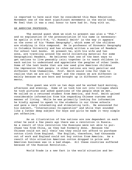is reported to have said that he considered this Mass Education Movement one of the most significant movements in the world today. We feel that it was a real honor to have had Dr. Tung with us.

## AN AMERICAN PROFESSOR.

 The second guest whom we wish to present was also a "Phd." and no explanation of the pronounciation of his name is necessaryhe spells it S-M-I-T-H, "J. Russell Smith" is the way it appears on the cover of his "Human Geography", which some of the children are studying in this compound. He is professor of Economic Geography in Columbia University and has already written a series of Readers for school text books. At present he, with his wife and two sons, are traveling around the world collecting material for some Geographical Readers. He believes that one of the best ways to get nations to live peacably (sic) together is to teach children in each nation to understand and appreciate the peoples of other lands. Some of the text books that are now used give American children the impression that people in other nations are very peculiar and different from themselves. Prof. Smith would like for them to realize that we are all "Human" and the reason we are different is mainly because we are born and brought up in different environments.

 This guest was with us two days and he worked hard morning, afternoon and evening. Some of us took him out into villages where he took pictures and asked questions of the people whom we met. We called on a returned student from America, and Prof. Smith gained considerable information from him regarding Chinese customs and manner of living. While he was primarily looking for information he kindly agreed to speak to the students in our three schools and gave a very interesting and stimulating talk. He announced for his subject, "International Co-operation" and while that sounded like a rather deep subject for boys and girls he made it very simple yet effective.

 As an illustration of how nations are now dependent on each other he said a few years ago there was a revolution in Russia. As a result of this revolution the Russians were not able to purchase tea from China, as they had formerly done. Because the Chinese could not sell their tea they could not afford to purchase cotton cloth from England. The English, therefore, had thousands out of work and England could not buy cotton from America. As a result of this situation American cotton dropped in price and American business was in a bad shape. All these countries suffered because of the Russian Revolution.

World Trade is a new fact in the world situation and be-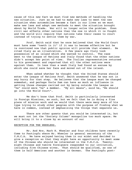cause of this new fact we must find new methods of handling the new situation. Just as we had to make new laws to meet the new situation when automobiles became a fact in our lives so we must make new laws and adopt new methods to meet the situation brought about by World Trade. War will no longer solve the problem. Even civil war effects other nations than the one in which it is fought and the world will require that nations take their cases to court instead of trying to settle them by war.

 Prof. Smith said that he once believed that the World Court must have some "teeth in it" if it was to become effective but he is convinced now that public opinion will provide that element. He cited Italy as an illustration. A few years ago Italy took possession of an island which she wanted to control. The case went to the League of Nations and Italy found that the other nations didn't accept her point of view. The Italian representative returned to his government and reported that all the other nations were against them. In less than a week Italy had found an excuse by which she could save her face and moved out of the island.

 When asked whether he thought that the United States should enter the League of Nations Prof. Smith answered that he was not in any hurry for that step. He believes that the League must be changed somewhat, and perhaps Uncle Sam can have as much an influence in getting those changes carried out by being outside the League as "he" could were "he" a member. "By all means", said he, "We should go into the World Court".

 We don't know that Prof. Smith is particularly interested in Foreign Missions, as such, but we felt that he is doing a fine piece of mission work and we would that there were many more of his type trying to study other peoples with the purpose of finding what we have in common, instead of emphasizing the things that separate us.

 There are other guests that you would be interested in, but we must not let the "Society Column" monopolize too much space. We will bring it to a close by an account of our

#### RECEPTION FOR THE WHEELERS.

 Mr. And Mrs. Mark H. Wheeler and four children have recently Come to Paotingfu where Mr. Wheeler is general secretary of the Y.M.C.A. We have enjoyed having them in our midst and decided to give a reception so that they might have an opportunity to meet some of the Chinese who should be interested in the Y.M.C.A. Twentyeight Chinese and twelve foreigners responded to our invitation, including five Chinese wives. That should be qualified, as one of them is half American and another is German. The Paotingfu post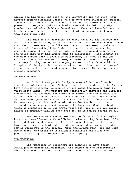master and his wife, the dean of the University and his wife, four doctors from the Medical School, two of whom have studied in America, and several other returned students from America "were among those present". Two principals of schools came and the following day another one called with his wife and son. They had intended to come to the reception but a theft in the school had prevented them so they came a day late.

 The idea of a "Reception" is quite novel to the Chinese and we did not know how they would take to it but now we have new evidence that the Chinese are "just like Americans". They seem to take to this kind of a meeting like fish to a fountain and the way they chatted, sipped tea, and coffee, ate cookies, cake and peanuts made one think that they had always gone to receptions. Miss Tinkham of the West Suburb sang a couple of selections, Dr. Chou of the University made an address of welcome, to which Mr. Wheeler responded in a very fitting manner and the program went off without a hitch. In spite of the fact that we were not going to "toot our own horns" any more we will repeat what was said by others: "The reception was a great success".

# WEATHER REPORT.

 Prof. Smith was particularly interested in the climatic conditions of this region. Perhaps some of the readers of the Chinese have similar interest. Autumn is by all means the proper time to visit North China. The winters are practically snowless and rainless, the springs are infamous for their dust storms and the summers are rainy. This autumn we have had unusually fine weather and I think we have never gone so late before without a fire in the furnace. We have one grate fire, and an oil stove for the bathroom, but fortunately we have not had to start the furnace. Coal is about twice as expensive as it was three years ago, and if the war materializes it probably will be even more so, if it can be bought at all.

 Besides the warm autumn weather the farmers of this region have also been blessed with sufficient rains so they have been able to plant their winter wheat. If rain' doesn't come at the proper time, or if it is not of sufficient quantity, wheat is not planted for it would rot in the ground. With the autumn rain, and the warm weeks since, the wheat is in splendid condition and gives the people something to look forward to next spring.

# THANKSGIVING.

 The Americans in Paotingfu are planning to have their Thanksgiving dinner all together. The people of the Presbyterian Mission have entertained us over there once this fall so we are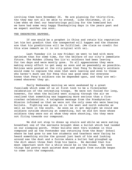inviting them here November 26. We are planning for thirty-five, tho they may not all be able to attend. Like Christmas, it is a time when we feel our heartstrings pulling for the homeland but we have had some very happy Thanksgiving days in the years past and we expect another one soon.

#### THE UNEXPECTED HAPPENS.

 If one would be a prophet in China and retain his reputation let him but predict that the unexpected will happen and the chances are that his predictions will be fulfilled. (We claim no credit for this wise remark as it is not original with us).

 Last Tuesday (it is now Friday) we went to bed with more optimism than for some time, for the welfare of our city's immediate future. The Mukden (Chang Tso Lin's) soldiers had been leaving for two days and were mostly gone. To all appearances they were making every effort to get away as soon and as peaceably as possible. Notices were posted at the city gates that Feng Yu Hsiang's soldiers would come to replace the ones that were leaving and even to those who haven't much use for Feng this was good news for everyone knows that Feng's soldiers can be depended upon, and they are welcomed wherever they go.

 Early Wednesday morning we were awakened by a great fussilade which some of us at first took to be a firecracker celebration of the retreating troops. We were not fooled for long, however, for when the bullets went singing through the air we realized that something was happening more serious than a firecracker celebration. A telephone message from the Presbyterian Mission informed us that we were not the only ones who were hearing bullets. Fighting was going on in the west and north suburbs as well as here in the south. As soon as it got daylight we could see soldiers outside shooting at something, but we did not know whose soldiers they were nor at whom they were shooting, tho they were not firing towards our compound.

 We did not stop to dress up stairs and while we were eating breakfast one of the servants brought down a bullet which had 1anded on our sleeping porch. Other bullets went thru windows in this compound and as the Pretender was returning from the Boys' School where he had gone to see how students and teachers were faring he heard something strike the ground just back of him and looking around saw the dust and a furrow where a bullet had ploughed up the dirt about three feet from his heels. He decided that his most important work for a while would be in the house. By noon things had pretty much quieted down and people from outside began to come into the compound.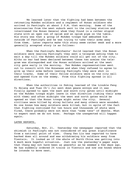We learned later that the fighting had been between the retreating Mukden soldiers and a regiment of Honan soldiers who arrived in Paotingfu at about 2 P.M. that morning. Some of the missionaries from the west suburb went to the railway station and interviewed the Honan General whom they found in a rather stupid state with an open can of opium and an opium pipe on the table. His story was that a group of Mukden troops had ambushed him outside of Paotingfu and he was trying to take their arms away from them. Later reports make this story seem rather weak and a more generally accepted story is as follows:

 When the Paotingfu Merchants' Gui1d learned that the Honan soldiers were nearing Paotingfu they sent a telegram asking them to wait a day till the Mukden soldiers could all get out of the city. Altho no war had been declared between these two armies the telegram was disregarded and the Honan soldiers arrived at the west city gate early in the morning. Two Mukden representatives went out to consult with the Honanese and when they refused to agree to give up their arms before leaving Paotingfu they were shot in their tracks. Some of their fellow soldiers were on the city wall and opened fire on the enemy. From this fighting spread in all directions.

 When the authorities in Peking learned of the trouble Feng Yu Hsiang and Tuan Ch'i Jui sent down peace envoys and it was finally agreed to open the east and south city gates until midnight so the Mukden troops might leave in that direction (taking their arms with them) and after midnight the west and north gates would be opened so that the Honan troops might enter the city. Several civilians were killed by stray bullets and many others were wounded. No one knows how many soldiers were killed, but in spite of the fact that fighting continued for ten hours and thousands of shots were fired, there probably were not more than "some tens" of deaths. What to expect next we do not know. Perhaps the unexpected will happen again.

## LATER REPORTS.

 Saturday, Nov. 21. Yesterday the newspaper reported that the skirmish in Paotingfu was not considered of any great significance from a national point of view. Chang Tso Lin was reported to have backed down all around and was withdrawing his soldiers away from Tientsin. It looked as if the whole of North China was getting into A much more hopeful situation. Just now the yesterday's paper says that Chang may not have been as peaceful as he seemed a few days ago. He has suddenly ordered 24 trains in Tientsin and now one knows where he intends to move next.